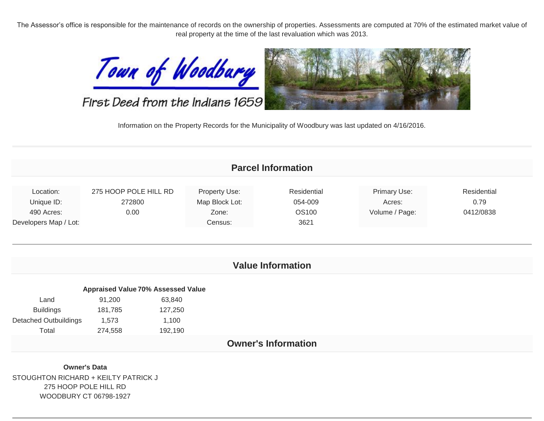The Assessor's office is responsible for the maintenance of records on the ownership of properties. Assessments are computed at 70% of the estimated market value of real property at the time of the last revaluation which was 2013.



First Deed from the Indians 1659



Information on the Property Records for the Municipality of Woodbury was last updated on 4/16/2016.

| <b>Parcel Information</b>    |                                           |                         |                          |                        |                     |  |  |  |
|------------------------------|-------------------------------------------|-------------------------|--------------------------|------------------------|---------------------|--|--|--|
| Location:                    | 275 HOOP POLE HILL RD<br>272800           | Property Use:           | Residential<br>054-009   | Primary Use:<br>Acres: | Residential<br>0.79 |  |  |  |
| Unique ID:<br>490 Acres:     | 0.00                                      | Map Block Lot:<br>Zone: | <b>OS100</b>             | Volume / Page:         | 0412/0838           |  |  |  |
| Developers Map / Lot:        |                                           | Census:                 | 3621                     |                        |                     |  |  |  |
|                              |                                           |                         | <b>Value Information</b> |                        |                     |  |  |  |
|                              | <b>Appraised Value 70% Assessed Value</b> |                         |                          |                        |                     |  |  |  |
| Land                         | 91,200<br>63,840                          |                         |                          |                        |                     |  |  |  |
| <b>Buildings</b>             | 181,785<br>127,250                        |                         |                          |                        |                     |  |  |  |
| <b>Detached Outbuildings</b> | 1,573<br>1,100                            |                         |                          |                        |                     |  |  |  |
| Total                        | 274,558<br>192,190                        |                         |                          |                        |                     |  |  |  |

STOUGHTON RICHARD + KEILTY PATRICK J 275 HOOP POLE HILL RD WOODBURY CT 06798-1927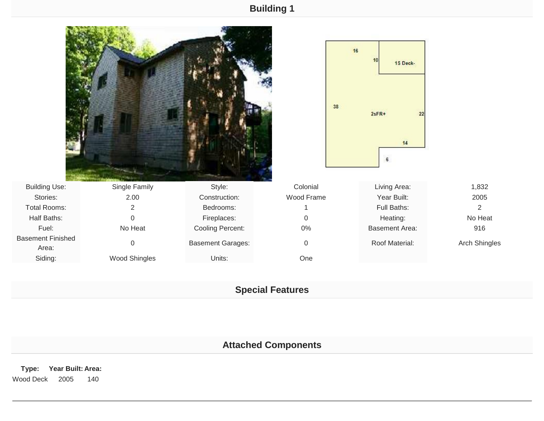## **Building 1**

|                                   |                  |                          |                  | 16<br>15 Deck-<br>38<br>$2sFR+$<br>22<br>14<br>6 |                |
|-----------------------------------|------------------|--------------------------|------------------|--------------------------------------------------|----------------|
| <b>Building Use:</b>              | Single Family    | Style:                   | Colonial         | Living Area:                                     | 1,832          |
| Stories:                          | 2.00             | Construction:            | Wood Frame       | Year Built:                                      | 2005           |
| <b>Total Rooms:</b>               | $\overline{2}$   | Bedrooms:                |                  | Full Baths:                                      | $\overline{2}$ |
| Half Baths:                       | $\overline{0}$   | Fireplaces:              | 0                | Heating:                                         | No Heat        |
| Fuel:                             | No Heat          | Cooling Percent:         | $0\%$            | <b>Basement Area:</b>                            | 916            |
| <b>Basement Finished</b><br>Area: | $\boldsymbol{0}$ | <b>Basement Garages:</b> | $\boldsymbol{0}$ | Roof Material:                                   | Arch Shingles  |
| Siding:                           | Wood Shingles    | Units:                   | One              |                                                  |                |

## **Special Features**

# **Attached Components**

**Type: Year Built: Area:** Wood Deck 2005 140